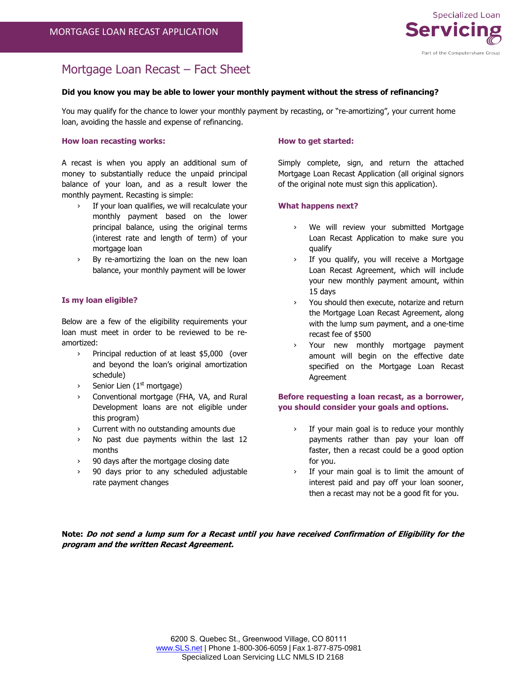

# Mortgage Loan Recast – Fact Sheet

## **Did you know you may be able to lower your monthly payment without the stress of refinancing?**

You may qualify for the chance to lower your monthly payment by recasting, or "re-amortizing", your current home loan, avoiding the hassle and expense of refinancing.

## **How loan recasting works:**

A recast is when you apply an additional sum of money to substantially reduce the unpaid principal balance of your loan, and as a result lower the monthly payment. Recasting is simple:

- › If your loan qualifies, we will recalculate your monthly payment based on the lower principal balance, using the original terms (interest rate and length of term) of your mortgage loan
- › By re-amortizing the loan on the new loan balance, your monthly payment will be lower

# **Is my loan eligible?**

Below are a few of the eligibility requirements your loan must meet in order to be reviewed to be reamortized:

- › Principal reduction of at least \$5,000 (over and beyond the loan's original amortization schedule)
- $\frac{1}{2}$  Senior Lien (1<sup>st</sup> mortgage)
- Conventional mortgage (FHA, VA, and Rural Development loans are not eligible under this program)
- › Current with no outstanding amounts due
- › No past due payments within the last 12 months
- › 90 days after the mortgage closing date
- › 90 days prior to any scheduled adjustable rate payment changes

# **How to get started:**

Simply complete, sign, and return the attached Mortgage Loan Recast Application (all original signors of the original note must sign this application).

#### **What happens next?**

- › We will review your submitted Mortgage Loan Recast Application to make sure you qualify
- › If you qualify, you will receive a Mortgage Loan Recast Agreement, which will include your new monthly payment amount, within 15 days
- › You should then execute, notarize and return the Mortgage Loan Recast Agreement, along with the lump sum payment, and a one-time recast fee of \$500
- › Your new monthly mortgage payment amount will begin on the effective date specified on the Mortgage Loan Recast Agreement

# **Before requesting a loan recast, as a borrower, you should consider your goals and options.**

- If your main goal is to reduce your monthly payments rather than pay your loan off faster, then a recast could be a good option for you.
- › If your main goal is to limit the amount of interest paid and pay off your loan sooner, then a recast may not be a good fit for you.

**Note: Do not send a lump sum for a Recast until you have received Confirmation of Eligibility for the program and the written Recast Agreement.**